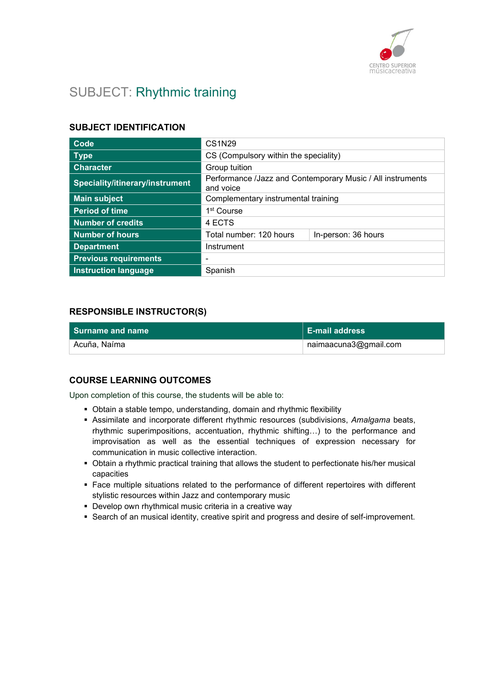

# SUBJECT: Rhythmic training

## SUBJECT IDENTIFICATION

| Code                            | <b>CS1N29</b>                                                           |                     |
|---------------------------------|-------------------------------------------------------------------------|---------------------|
| <b>Type</b>                     | CS (Compulsory within the speciality)                                   |                     |
| <b>Character</b>                | Group tuition                                                           |                     |
| Speciality/itinerary/instrument | Performance /Jazz and Contemporary Music / All instruments<br>and voice |                     |
| <b>Main subject</b>             | Complementary instrumental training                                     |                     |
| <b>Period of time</b>           | 1 <sup>st</sup> Course                                                  |                     |
| Number of credits               | 4 ECTS                                                                  |                     |
| <b>Number of hours</b>          | Total number: 120 hours                                                 | In-person: 36 hours |
| <b>Department</b>               | Instrument                                                              |                     |
| <b>Previous requirements</b>    |                                                                         |                     |
| <b>Instruction language</b>     | Spanish                                                                 |                     |

## RESPONSIBLE INSTRUCTOR(S)

| <b>Surname and name</b> | ∣ E-mail address      |
|-------------------------|-----------------------|
| Acuña. Naíma            | naimaacuna3@gmail.com |

## COURSE LEARNING OUTCOMES

Upon completion of this course, the students will be able to:

- Obtain a stable tempo, understanding, domain and rhythmic flexibility
- Assimilate and incorporate different rhythmic resources (subdivisions, Amalgama beats, rhythmic superimpositions, accentuation, rhythmic shifting…) to the performance and improvisation as well as the essential techniques of expression necessary for communication in music collective interaction.
- Obtain a rhythmic practical training that allows the student to perfectionate his/her musical capacities
- Face multiple situations related to the performance of different repertoires with different stylistic resources within Jazz and contemporary music
- Develop own rhythmical music criteria in a creative way
- **Search of an musical identity, creative spirit and progress and desire of self-improvement.**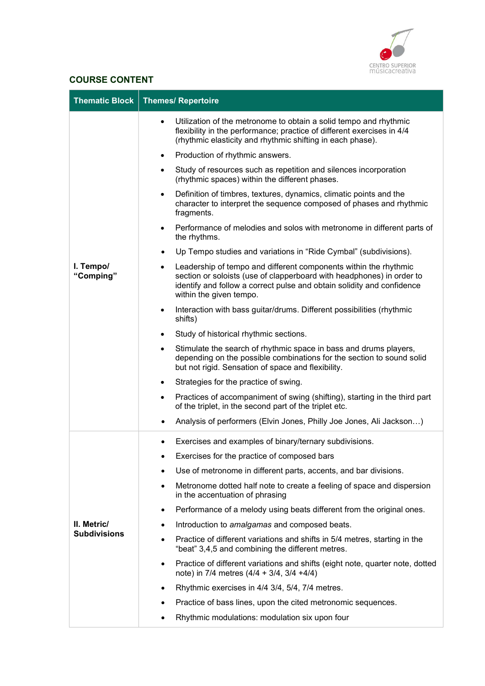

## COURSE CONTENT

| <b>Thematic Block</b>  | <b>Themes/ Repertoire</b>                                                                                                                                                                                                                      |
|------------------------|------------------------------------------------------------------------------------------------------------------------------------------------------------------------------------------------------------------------------------------------|
|                        | Utilization of the metronome to obtain a solid tempo and rhythmic<br>٠<br>flexibility in the performance; practice of different exercises in 4/4<br>(rhythmic elasticity and rhythmic shifting in each phase).                                 |
|                        | Production of rhythmic answers.                                                                                                                                                                                                                |
|                        | Study of resources such as repetition and silences incorporation<br>$\bullet$<br>(rhythmic spaces) within the different phases.                                                                                                                |
|                        | Definition of timbres, textures, dynamics, climatic points and the<br>$\bullet$<br>character to interpret the sequence composed of phases and rhythmic<br>fragments.                                                                           |
|                        | Performance of melodies and solos with metronome in different parts of<br>$\bullet$<br>the rhythms.                                                                                                                                            |
|                        | Up Tempo studies and variations in "Ride Cymbal" (subdivisions).                                                                                                                                                                               |
| I. Tempo/<br>"Comping" | Leadership of tempo and different components within the rhythmic<br>section or soloists (use of clapperboard with headphones) in order to<br>identify and follow a correct pulse and obtain solidity and confidence<br>within the given tempo. |
|                        | Interaction with bass guitar/drums. Different possibilities (rhythmic<br>$\bullet$<br>shifts)                                                                                                                                                  |
|                        | Study of historical rhythmic sections.<br>$\bullet$                                                                                                                                                                                            |
|                        | Stimulate the search of rhythmic space in bass and drums players,<br>$\bullet$<br>depending on the possible combinations for the section to sound solid<br>but not rigid. Sensation of space and flexibility.                                  |
|                        | Strategies for the practice of swing.<br>$\bullet$                                                                                                                                                                                             |
|                        | Practices of accompaniment of swing (shifting), starting in the third part<br>$\bullet$<br>of the triplet, in the second part of the triplet etc.                                                                                              |
|                        | Analysis of performers (Elvin Jones, Philly Joe Jones, Ali Jackson)                                                                                                                                                                            |
|                        | Exercises and examples of binary/ternary subdivisions.                                                                                                                                                                                         |
|                        | Exercises for the practice of composed bars                                                                                                                                                                                                    |
|                        | Use of metronome in different parts, accents, and bar divisions.<br>$\bullet$                                                                                                                                                                  |
|                        | Metronome dotted half note to create a feeling of space and dispersion<br>$\bullet$<br>in the accentuation of phrasing                                                                                                                         |
|                        | Performance of a melody using beats different from the original ones.<br>$\bullet$                                                                                                                                                             |
| II. Metric/            | Introduction to amalgamas and composed beats.<br>$\bullet$                                                                                                                                                                                     |
| <b>Subdivisions</b>    | Practice of different variations and shifts in 5/4 metres, starting in the<br>$\bullet$<br>"beat" 3,4,5 and combining the different metres.                                                                                                    |
|                        | Practice of different variations and shifts (eight note, quarter note, dotted<br>$\bullet$<br>note) in 7/4 metres $(4/4 + 3/4, 3/4 + 4/4)$                                                                                                     |
|                        | Rhythmic exercises in 4/4 3/4, 5/4, 7/4 metres.<br>٠                                                                                                                                                                                           |
|                        | Practice of bass lines, upon the cited metronomic sequences.<br>$\bullet$                                                                                                                                                                      |
|                        | Rhythmic modulations: modulation six upon four<br>٠                                                                                                                                                                                            |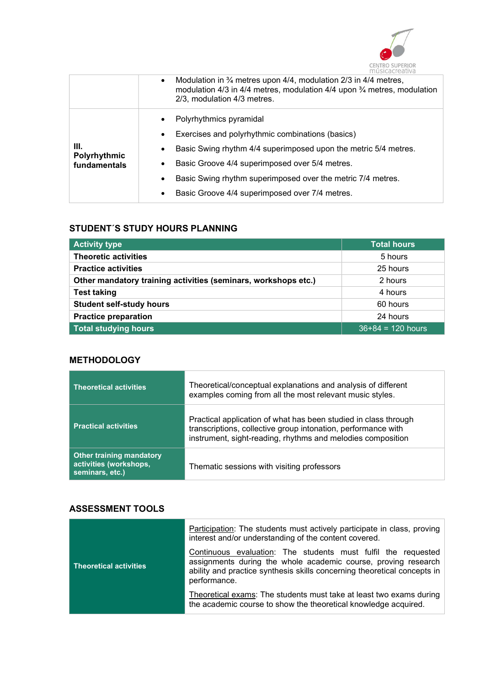

|                              | Modulation in $\frac{3}{4}$ metres upon 4/4, modulation 2/3 in 4/4 metres,<br>$\bullet$<br>modulation 4/3 in 4/4 metres, modulation 4/4 upon 3/4 metres, modulation<br>2/3, modulation 4/3 metres. |
|------------------------------|----------------------------------------------------------------------------------------------------------------------------------------------------------------------------------------------------|
| Ш.                           | Polyrhythmics pyramidal<br>Exercises and polyrhythmic combinations (basics)<br>Basic Swing rhythm 4/4 superimposed upon the metric 5/4 metres.                                                     |
| Polyrhythmic<br>fundamentals | Basic Groove 4/4 superimposed over 5/4 metres.<br>Basic Swing rhythm superimposed over the metric 7/4 metres.<br>$\bullet$                                                                         |
|                              | Basic Groove 4/4 superimposed over 7/4 metres.                                                                                                                                                     |

## STUDENT´S STUDY HOURS PLANNING

| <b>Activity type</b>                                           | <b>Total hours</b>  |
|----------------------------------------------------------------|---------------------|
| <b>Theoretic activities</b>                                    | 5 hours             |
| <b>Practice activities</b>                                     | 25 hours            |
| Other mandatory training activities (seminars, workshops etc.) | 2 hours             |
| <b>Test taking</b>                                             | 4 hours             |
| <b>Student self-study hours</b>                                | 60 hours            |
| <b>Practice preparation</b>                                    | 24 hours            |
| <b>Total studying hours</b>                                    | $36+84 = 120$ hours |

## **METHODOLOGY**

| <b>Theoretical activities</b>                                                | Theoretical/conceptual explanations and analysis of different<br>examples coming from all the most relevant music styles.                                                                       |
|------------------------------------------------------------------------------|-------------------------------------------------------------------------------------------------------------------------------------------------------------------------------------------------|
| <b>Practical activities</b>                                                  | Practical application of what has been studied in class through<br>transcriptions, collective group intonation, performance with<br>instrument, sight-reading, rhythms and melodies composition |
| <b>Other training mandatory</b><br>activities (workshops,<br>seminars, etc.) | Thematic sessions with visiting professors                                                                                                                                                      |

## ASSESSMENT TOOLS

|                               | Participation: The students must actively participate in class, proving<br>interest and/or understanding of the content covered.                                                                                            |
|-------------------------------|-----------------------------------------------------------------------------------------------------------------------------------------------------------------------------------------------------------------------------|
| <b>Theoretical activities</b> | Continuous evaluation: The students must fulfil the requested<br>assignments during the whole academic course, proving research<br>ability and practice synthesis skills concerning theoretical concepts in<br>performance. |
|                               | Theoretical exams: The students must take at least two exams during<br>the academic course to show the theoretical knowledge acquired.                                                                                      |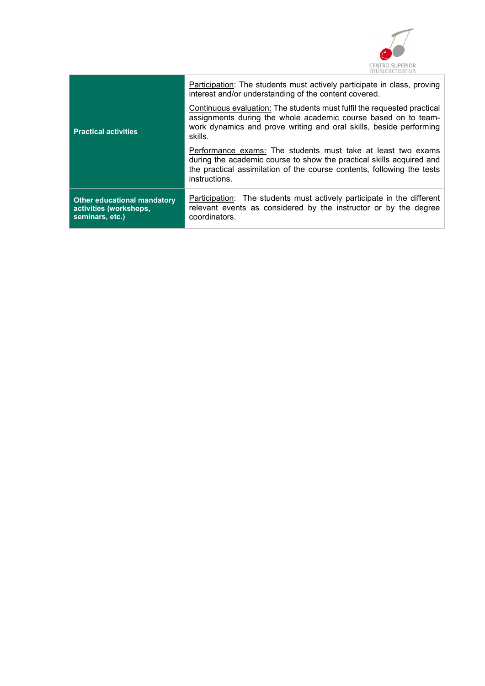

| <b>Practical activities</b>                                              | Participation: The students must actively participate in class, proving<br>interest and/or understanding of the content covered.<br>Continuous evaluation: The students must fulfil the requested practical<br>assignments during the whole academic course based on to team-<br>work dynamics and prove writing and oral skills, beside performing<br>skills. |
|--------------------------------------------------------------------------|----------------------------------------------------------------------------------------------------------------------------------------------------------------------------------------------------------------------------------------------------------------------------------------------------------------------------------------------------------------|
|                                                                          | Performance exams: The students must take at least two exams<br>during the academic course to show the practical skills acquired and<br>the practical assimilation of the course contents, following the tests<br>instructions.                                                                                                                                |
| Other educational mandatory<br>activities (workshops,<br>seminars, etc.) | Participation: The students must actively participate in the different<br>relevant events as considered by the instructor or by the degree<br>coordinators.                                                                                                                                                                                                    |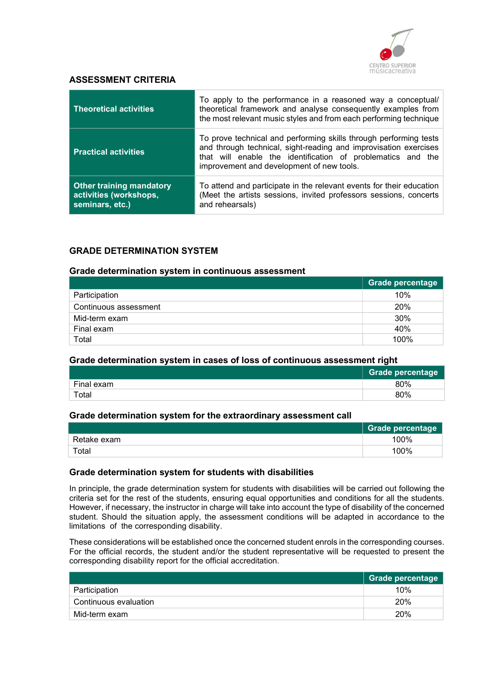

### ASSESSMENT CRITERIA

| <b>Theoretical activities</b>                                                | To apply to the performance in a reasoned way a conceptual/<br>theoretical framework and analyse consequently examples from<br>the most relevant music styles and from each performing technique                                                  |
|------------------------------------------------------------------------------|---------------------------------------------------------------------------------------------------------------------------------------------------------------------------------------------------------------------------------------------------|
| <b>Practical activities</b>                                                  | To prove technical and performing skills through performing tests<br>and through technical, sight-reading and improvisation exercises<br>that will enable the identification of problematics and the<br>improvement and development of new tools. |
| <b>Other training mandatory</b><br>activities (workshops,<br>seminars, etc.) | To attend and participate in the relevant events for their education<br>(Meet the artists sessions, invited professors sessions, concerts<br>and rehearsals)                                                                                      |

## GRADE DETERMINATION SYSTEM

#### Grade determination system in continuous assessment

|                       | Grade percentage |
|-----------------------|------------------|
| Participation         | 10%              |
| Continuous assessment | 20%              |
| Mid-term exam         | 30%              |
| Final exam            | 40%              |
| Total                 | 100%             |

#### Grade determination system in cases of loss of continuous assessment right

|            | <b>Grade percentage</b> |
|------------|-------------------------|
| Final exam | 80%                     |
| Total      | 80%                     |

#### Grade determination system for the extraordinary assessment call

|             | <b>Grade percentage</b> |
|-------------|-------------------------|
| Retake exam | 100%                    |
| Total       | 100%                    |

#### Grade determination system for students with disabilities

In principle, the grade determination system for students with disabilities will be carried out following the criteria set for the rest of the students, ensuring equal opportunities and conditions for all the students. However, if necessary, the instructor in charge will take into account the type of disability of the concerned student. Should the situation apply, the assessment conditions will be adapted in accordance to the limitations of the corresponding disability.

These considerations will be established once the concerned student enrols in the corresponding courses. For the official records, the student and/or the student representative will be requested to present the corresponding disability report for the official accreditation.

|                       | Grade percentage |
|-----------------------|------------------|
| Participation         | 10%              |
| Continuous evaluation | 20%              |
| Mid-term exam         | 20%              |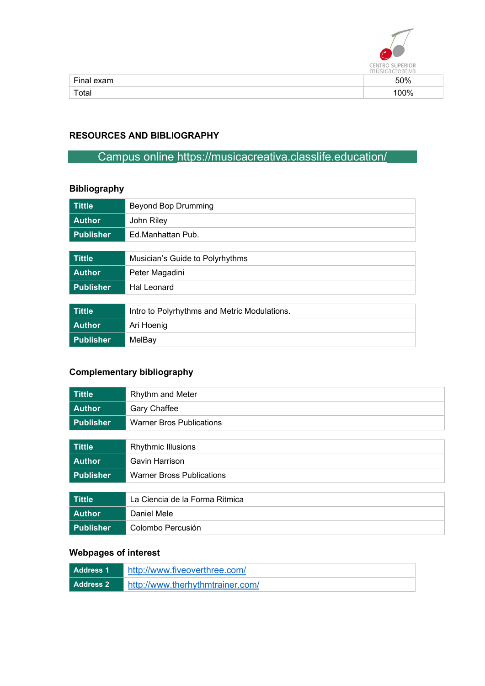

| Final exam | 50% |
|------------|-----|
| Total      | 00% |

## RESOURCES AND BIBLIOGRAPHY

# Campus online https://musicacreativa.classlife.education/

## Bibliography

| <b>Tittle</b>    | <b>Beyond Bop Drumming</b>                   |
|------------------|----------------------------------------------|
| <b>Author</b>    | John Riley                                   |
| <b>Publisher</b> | Ed Manhattan Pub.                            |
|                  |                                              |
| <b>Tittle</b>    | Musician's Guide to Polyrhythms              |
| <b>Author</b>    | Peter Magadini                               |
| <b>Publisher</b> | Hal Leonard                                  |
|                  |                                              |
| <b>Tittle</b>    | Intro to Polyrhythms and Metric Modulations. |
| <b>Author</b>    | Ari Hoenig                                   |
| <b>Publisher</b> | MelBay                                       |

## Complementary bibliography

| <b>Tittle</b>    | Rhythm and Meter                 |
|------------------|----------------------------------|
| <b>Author</b>    | Gary Chaffee                     |
| <b>Publisher</b> | <b>Warner Bros Publications</b>  |
|                  |                                  |
| <b>Tittle</b>    | <b>Rhythmic Illusions</b>        |
| <b>Author</b>    | Gavin Harrison                   |
| Publisher        | <b>Warner Bross Publications</b> |
|                  |                                  |
| <b>Tittle</b>    | La Ciencia de la Forma Ritmica   |
| <b>Author</b>    | Daniel Mele                      |
| <b>Publisher</b> | Colombo Percusión                |

## Webpages of interest

| Address 1 | http://www.fiveoverthree.com/    |
|-----------|----------------------------------|
| Address 2 | http://www.therhythmtrainer.com/ |